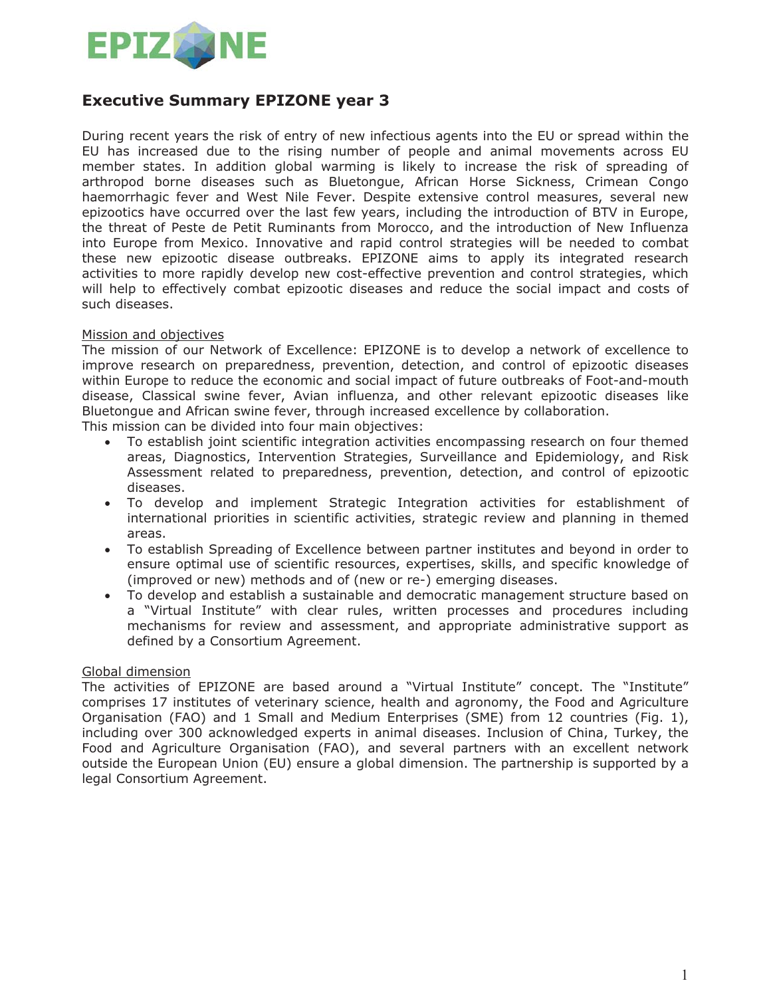

## **Executive Summary EPIZONE year 3**

During recent years the risk of entry of new infectious agents into the EU or spread within the EU has increased due to the rising number of people and animal movements across EU member states. In addition global warming is likely to increase the risk of spreading of arthropod borne diseases such as Bluetongue, African Horse Sickness, Crimean Congo haemorrhagic fever and West Nile Fever. Despite extensive control measures, several new epizootics have occurred over the last few years, including the introduction of BTV in Europe, the threat of Peste de Petit Ruminants from Morocco, and the introduction of New Influenza into Europe from Mexico. Innovative and rapid control strategies will be needed to combat these new epizootic disease outbreaks. EPIZONE aims to apply its integrated research activities to more rapidly develop new cost-effective prevention and control strategies, which will help to effectively combat epizootic diseases and reduce the social impact and costs of such diseases.

### Mission and objectives

The mission of our Network of Excellence: EPIZONE is to develop a network of excellence to improve research on preparedness, prevention, detection, and control of epizootic diseases within Europe to reduce the economic and social impact of future outbreaks of Foot-and-mouth disease, Classical swine fever, Avian influenza, and other relevant epizootic diseases like Bluetongue and African swine fever, through increased excellence by collaboration.

This mission can be divided into four main objectives:

- To establish joint scientific integration activities encompassing research on four themed areas, Diagnostics, Intervention Strategies, Surveillance and Epidemiology, and Risk Assessment related to preparedness, prevention, detection, and control of epizootic diseases.
- To develop and implement Strategic Integration activities for establishment of international priorities in scientific activities, strategic review and planning in themed areas.
- To establish Spreading of Excellence between partner institutes and beyond in order to ensure optimal use of scientific resources, expertises, skills, and specific knowledge of (improved or new) methods and of (new or re-) emerging diseases.
- To develop and establish a sustainable and democratic management structure based on a "Virtual Institute" with clear rules, written processes and procedures including mechanisms for review and assessment, and appropriate administrative support as defined by a Consortium Agreement.

#### Global dimension

The activities of EPIZONE are based around a "Virtual Institute" concept. The "Institute" comprises 17 institutes of veterinary science, health and agronomy, the Food and Agriculture Organisation (FAO) and 1 Small and Medium Enterprises (SME) from 12 countries (Fig. 1), including over 300 acknowledged experts in animal diseases. Inclusion of China, Turkey, the Food and Agriculture Organisation (FAO), and several partners with an excellent network outside the European Union (EU) ensure a global dimension. The partnership is supported by a legal Consortium Agreement.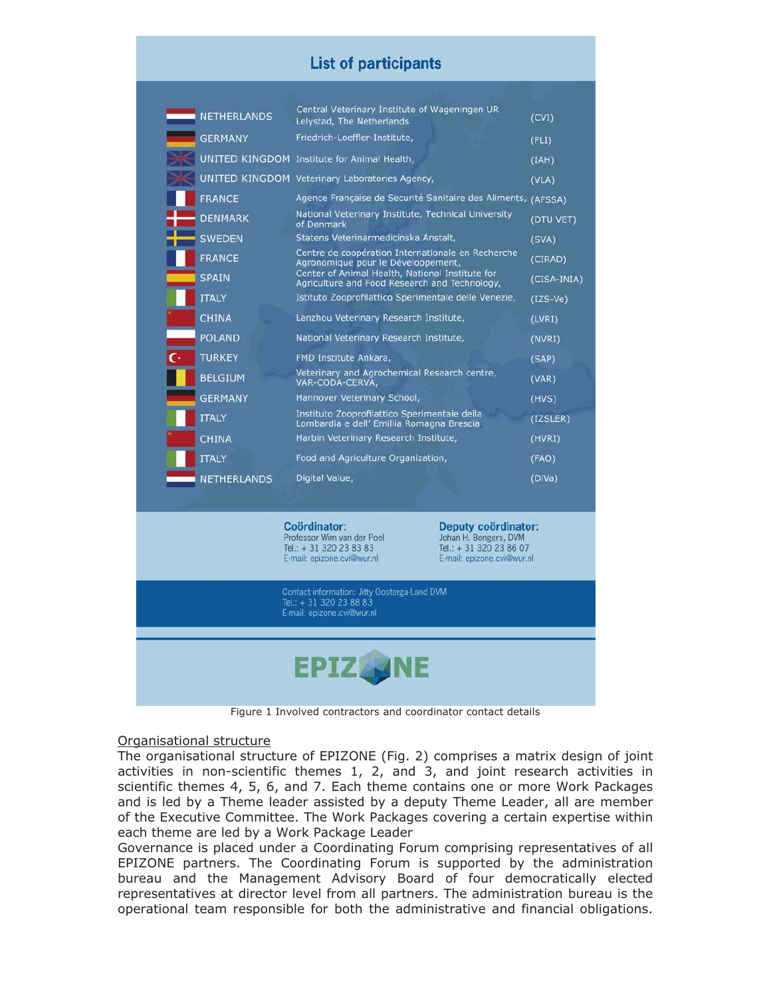# **List of participants**

| Central Veterinary Institute of Wageningen UR<br><b>NETHERLANDS</b><br>(CVI)<br>Lelystad, The Netherlands<br>Friedrich-Loeffler-Institute,<br><b>GERMANY</b><br>(FLI)<br>UNITED KINGDOM Institute for Animal Health,<br>(IAH)<br><b>UNITED KINGDOM Veterinary Laboratories Agency,</b><br>(VLA)<br>Agence Française de Securité Sanitaire des Aliments, (AFSSA)<br><b>FRANCE</b><br>National Veterinary Institute, Technical University<br><b>DENMARK</b><br>(DTU VET)<br>of Denmark<br>Statens Veterinarmedicinska Anstalt,<br><b>SWEDEN</b><br>(SVA)<br>Centre de coopération Internationale en Recherche<br><b>FRANCE</b><br>(CIRAD)<br>Agronomique pour le Développement,<br>Center of Animal Health, National Institute for<br><b>SPAIN</b><br>(CISA-INIA)<br>Agriculture and Food Research and Technology,<br>Istituto Zooprofilattico Sperimentale delle Venezie,<br><b>ITALY</b><br>$(IZS-Ve)$<br><b>CHINA</b><br>Lanzhou Veterinary Research Institute,<br>(LVRI)<br><b>POLAND</b><br>National Veterinary Research Institute,<br>(NVRI)<br>٢.<br><b>TURKEY</b><br>FMD Institute Ankara,<br>(SAP)<br>Veterinary and Agrochemical Research centre,<br><b>BELGIUM</b><br>(VAR)<br>VAR-CODA-CERVA,<br><b>GERMANY</b><br>Hannover Veterinary School,<br>(HVS)<br>Instituto Zooprofilattico Sperimentale della<br><b>ITALY</b><br>(IZSLER)<br>Lombardia e dell' Emillia Romagna Brescia<br>Harbin Veterinary Research Institute,<br>(HVRI)<br><b>CHINA</b><br><b>ITALY</b><br>Food and Agriculture Organization,<br>(FAO)<br><b>NETHERLANDS</b><br>Digital Value,<br>(DiVa)<br>Coördinator:<br>Deputy coördinator:<br>Johan H. Bongers, DVM<br>Professor Wim van der Poel<br>Tel.: + 31 320 23 86 07<br>Tel.: $+31$ 320 23 83 83<br>E-mail: epizone.cvi@wur.nl<br>E-mail: epizone.cvi@wur.nl<br>Contact information: Jitty Oosterga-Land DVM<br>Tel.: + 31 320 23 88 83<br>E-mail: epizone.cvi@wur.nl |  |  |  |  |
|----------------------------------------------------------------------------------------------------------------------------------------------------------------------------------------------------------------------------------------------------------------------------------------------------------------------------------------------------------------------------------------------------------------------------------------------------------------------------------------------------------------------------------------------------------------------------------------------------------------------------------------------------------------------------------------------------------------------------------------------------------------------------------------------------------------------------------------------------------------------------------------------------------------------------------------------------------------------------------------------------------------------------------------------------------------------------------------------------------------------------------------------------------------------------------------------------------------------------------------------------------------------------------------------------------------------------------------------------------------------------------------------------------------------------------------------------------------------------------------------------------------------------------------------------------------------------------------------------------------------------------------------------------------------------------------------------------------------------------------------------------------------------------------------------------------------------------------------------------------------------------------------------------|--|--|--|--|
|                                                                                                                                                                                                                                                                                                                                                                                                                                                                                                                                                                                                                                                                                                                                                                                                                                                                                                                                                                                                                                                                                                                                                                                                                                                                                                                                                                                                                                                                                                                                                                                                                                                                                                                                                                                                                                                                                                          |  |  |  |  |
|                                                                                                                                                                                                                                                                                                                                                                                                                                                                                                                                                                                                                                                                                                                                                                                                                                                                                                                                                                                                                                                                                                                                                                                                                                                                                                                                                                                                                                                                                                                                                                                                                                                                                                                                                                                                                                                                                                          |  |  |  |  |
|                                                                                                                                                                                                                                                                                                                                                                                                                                                                                                                                                                                                                                                                                                                                                                                                                                                                                                                                                                                                                                                                                                                                                                                                                                                                                                                                                                                                                                                                                                                                                                                                                                                                                                                                                                                                                                                                                                          |  |  |  |  |
|                                                                                                                                                                                                                                                                                                                                                                                                                                                                                                                                                                                                                                                                                                                                                                                                                                                                                                                                                                                                                                                                                                                                                                                                                                                                                                                                                                                                                                                                                                                                                                                                                                                                                                                                                                                                                                                                                                          |  |  |  |  |
|                                                                                                                                                                                                                                                                                                                                                                                                                                                                                                                                                                                                                                                                                                                                                                                                                                                                                                                                                                                                                                                                                                                                                                                                                                                                                                                                                                                                                                                                                                                                                                                                                                                                                                                                                                                                                                                                                                          |  |  |  |  |
|                                                                                                                                                                                                                                                                                                                                                                                                                                                                                                                                                                                                                                                                                                                                                                                                                                                                                                                                                                                                                                                                                                                                                                                                                                                                                                                                                                                                                                                                                                                                                                                                                                                                                                                                                                                                                                                                                                          |  |  |  |  |
|                                                                                                                                                                                                                                                                                                                                                                                                                                                                                                                                                                                                                                                                                                                                                                                                                                                                                                                                                                                                                                                                                                                                                                                                                                                                                                                                                                                                                                                                                                                                                                                                                                                                                                                                                                                                                                                                                                          |  |  |  |  |
|                                                                                                                                                                                                                                                                                                                                                                                                                                                                                                                                                                                                                                                                                                                                                                                                                                                                                                                                                                                                                                                                                                                                                                                                                                                                                                                                                                                                                                                                                                                                                                                                                                                                                                                                                                                                                                                                                                          |  |  |  |  |
|                                                                                                                                                                                                                                                                                                                                                                                                                                                                                                                                                                                                                                                                                                                                                                                                                                                                                                                                                                                                                                                                                                                                                                                                                                                                                                                                                                                                                                                                                                                                                                                                                                                                                                                                                                                                                                                                                                          |  |  |  |  |
|                                                                                                                                                                                                                                                                                                                                                                                                                                                                                                                                                                                                                                                                                                                                                                                                                                                                                                                                                                                                                                                                                                                                                                                                                                                                                                                                                                                                                                                                                                                                                                                                                                                                                                                                                                                                                                                                                                          |  |  |  |  |
|                                                                                                                                                                                                                                                                                                                                                                                                                                                                                                                                                                                                                                                                                                                                                                                                                                                                                                                                                                                                                                                                                                                                                                                                                                                                                                                                                                                                                                                                                                                                                                                                                                                                                                                                                                                                                                                                                                          |  |  |  |  |
|                                                                                                                                                                                                                                                                                                                                                                                                                                                                                                                                                                                                                                                                                                                                                                                                                                                                                                                                                                                                                                                                                                                                                                                                                                                                                                                                                                                                                                                                                                                                                                                                                                                                                                                                                                                                                                                                                                          |  |  |  |  |
|                                                                                                                                                                                                                                                                                                                                                                                                                                                                                                                                                                                                                                                                                                                                                                                                                                                                                                                                                                                                                                                                                                                                                                                                                                                                                                                                                                                                                                                                                                                                                                                                                                                                                                                                                                                                                                                                                                          |  |  |  |  |
|                                                                                                                                                                                                                                                                                                                                                                                                                                                                                                                                                                                                                                                                                                                                                                                                                                                                                                                                                                                                                                                                                                                                                                                                                                                                                                                                                                                                                                                                                                                                                                                                                                                                                                                                                                                                                                                                                                          |  |  |  |  |
|                                                                                                                                                                                                                                                                                                                                                                                                                                                                                                                                                                                                                                                                                                                                                                                                                                                                                                                                                                                                                                                                                                                                                                                                                                                                                                                                                                                                                                                                                                                                                                                                                                                                                                                                                                                                                                                                                                          |  |  |  |  |
|                                                                                                                                                                                                                                                                                                                                                                                                                                                                                                                                                                                                                                                                                                                                                                                                                                                                                                                                                                                                                                                                                                                                                                                                                                                                                                                                                                                                                                                                                                                                                                                                                                                                                                                                                                                                                                                                                                          |  |  |  |  |
|                                                                                                                                                                                                                                                                                                                                                                                                                                                                                                                                                                                                                                                                                                                                                                                                                                                                                                                                                                                                                                                                                                                                                                                                                                                                                                                                                                                                                                                                                                                                                                                                                                                                                                                                                                                                                                                                                                          |  |  |  |  |
|                                                                                                                                                                                                                                                                                                                                                                                                                                                                                                                                                                                                                                                                                                                                                                                                                                                                                                                                                                                                                                                                                                                                                                                                                                                                                                                                                                                                                                                                                                                                                                                                                                                                                                                                                                                                                                                                                                          |  |  |  |  |
|                                                                                                                                                                                                                                                                                                                                                                                                                                                                                                                                                                                                                                                                                                                                                                                                                                                                                                                                                                                                                                                                                                                                                                                                                                                                                                                                                                                                                                                                                                                                                                                                                                                                                                                                                                                                                                                                                                          |  |  |  |  |
|                                                                                                                                                                                                                                                                                                                                                                                                                                                                                                                                                                                                                                                                                                                                                                                                                                                                                                                                                                                                                                                                                                                                                                                                                                                                                                                                                                                                                                                                                                                                                                                                                                                                                                                                                                                                                                                                                                          |  |  |  |  |
|                                                                                                                                                                                                                                                                                                                                                                                                                                                                                                                                                                                                                                                                                                                                                                                                                                                                                                                                                                                                                                                                                                                                                                                                                                                                                                                                                                                                                                                                                                                                                                                                                                                                                                                                                                                                                                                                                                          |  |  |  |  |



Figure 1 Involved contractors and coordinator contact details

#### Organisational structure

The organisational structure of EPIZONE (Fig. 2) comprises a matrix design of joint activities in non-scientific themes 1, 2, and 3, and joint research activities in scientific themes 4, 5, 6, and 7. Each theme contains one or more Work Packages and is led by a Theme leader assisted by a deputy Theme Leader, all are member of the Executive Committee. The Work Packages covering a certain expertise within each theme are led by a Work Package Leader

Governance is placed under a Coordinating Forum comprising representatives of all EPIZONE partners. The Coordinating Forum is supported by the administration bureau and the Management Advisory Board of four democratically elected representatives at director level from all partners. The administration bureau is the operational team responsible for both the administrative and financial obligations.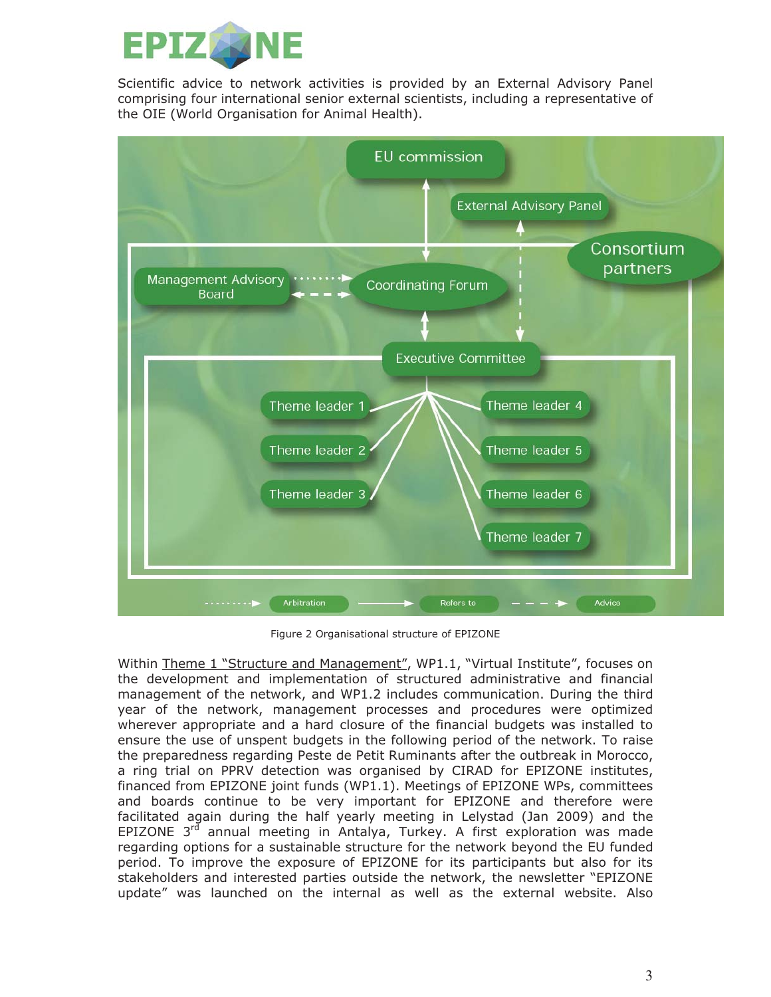

Scientific advice to network activities is provided by an External Advisory Panel comprising four international senior external scientists, including a representative of the OIE (World Organisation for Animal Health).



Figure 2 Organisational structure of EPIZONE

Within Theme 1 "Structure and Management", WP1.1, "Virtual Institute", focuses on the development and implementation of structured administrative and financial management of the network, and WP1.2 includes communication. During the third year of the network, management processes and procedures were optimized wherever appropriate and a hard closure of the financial budgets was installed to ensure the use of unspent budgets in the following period of the network. To raise the preparedness regarding Peste de Petit Ruminants after the outbreak in Morocco, a ring trial on PPRV detection was organised by CIRAD for EPIZONE institutes, financed from EPIZONE joint funds (WP1.1). Meetings of EPIZONE WPs, committees and boards continue to be very important for EPIZONE and therefore were facilitated again during the half yearly meeting in Lelystad (Jan 2009) and the EPIZONE 3<sup>rd</sup> annual meeting in Antalya, Turkey. A first exploration was made regarding options for a sustainable structure for the network beyond the EU funded period. To improve the exposure of EPIZONE for its participants but also for its stakeholders and interested parties outside the network, the newsletter "EPIZONE update" was launched on the internal as well as the external website. Also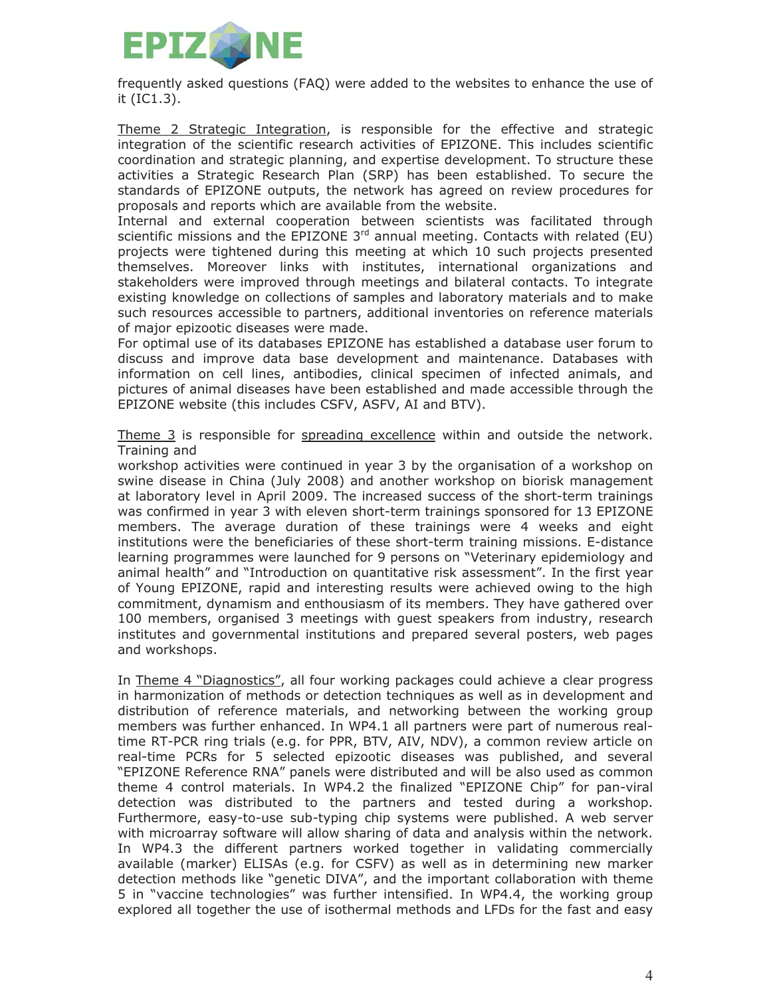

frequently asked questions (FAQ) were added to the websites to enhance the use of it (IC1.3).

Theme 2 Strategic Integration, is responsible for the effective and strategic integration of the scientific research activities of EPIZONE. This includes scientific coordination and strategic planning, and expertise development. To structure these activities a Strategic Research Plan (SRP) has been established. To secure the standards of EPIZONE outputs, the network has agreed on review procedures for proposals and reports which are available from the website.

Internal and external cooperation between scientists was facilitated through scientific missions and the EPIZONE  $3^{rd}$  annual meeting. Contacts with related (EU) projects were tightened during this meeting at which 10 such projects presented themselves. Moreover links with institutes, international organizations and stakeholders were improved through meetings and bilateral contacts. To integrate existing knowledge on collections of samples and laboratory materials and to make such resources accessible to partners, additional inventories on reference materials of major epizootic diseases were made.

For optimal use of its databases EPIZONE has established a database user forum to discuss and improve data base development and maintenance. Databases with information on cell lines, antibodies, clinical specimen of infected animals, and pictures of animal diseases have been established and made accessible through the EPIZONE website (this includes CSFV, ASFV, AI and BTV).

Theme 3 is responsible for spreading excellence within and outside the network. Training and

workshop activities were continued in year 3 by the organisation of a workshop on swine disease in China (July 2008) and another workshop on biorisk management at laboratory level in April 2009. The increased success of the short-term trainings was confirmed in year 3 with eleven short-term trainings sponsored for 13 EPIZONE members. The average duration of these trainings were 4 weeks and eight institutions were the beneficiaries of these short-term training missions. E-distance learning programmes were launched for 9 persons on "Veterinary epidemiology and animal health" and "Introduction on quantitative risk assessment". In the first year of Young EPIZONE, rapid and interesting results were achieved owing to the high commitment, dynamism and enthousiasm of its members. They have gathered over 100 members, organised 3 meetings with guest speakers from industry, research institutes and governmental institutions and prepared several posters, web pages and workshops.

In Theme 4 "Diagnostics", all four working packages could achieve a clear progress in harmonization of methods or detection techniques as well as in development and distribution of reference materials, and networking between the working group members was further enhanced. In WP4.1 all partners were part of numerous realtime RT-PCR ring trials (e.g. for PPR, BTV, AIV, NDV), a common review article on real-time PCRs for 5 selected epizootic diseases was published, and several "EPIZONE Reference RNA" panels were distributed and will be also used as common theme 4 control materials. In WP4.2 the finalized "EPIZONE Chip" for pan-viral detection was distributed to the partners and tested during a workshop. Furthermore, easy-to-use sub-typing chip systems were published. A web server with microarray software will allow sharing of data and analysis within the network. In WP4.3 the different partners worked together in validating commercially available (marker) ELISAs (e.g. for CSFV) as well as in determining new marker detection methods like "genetic DIVA", and the important collaboration with theme 5 in "vaccine technologies" was further intensified. In WP4.4, the working group explored all together the use of isothermal methods and LFDs for the fast and easy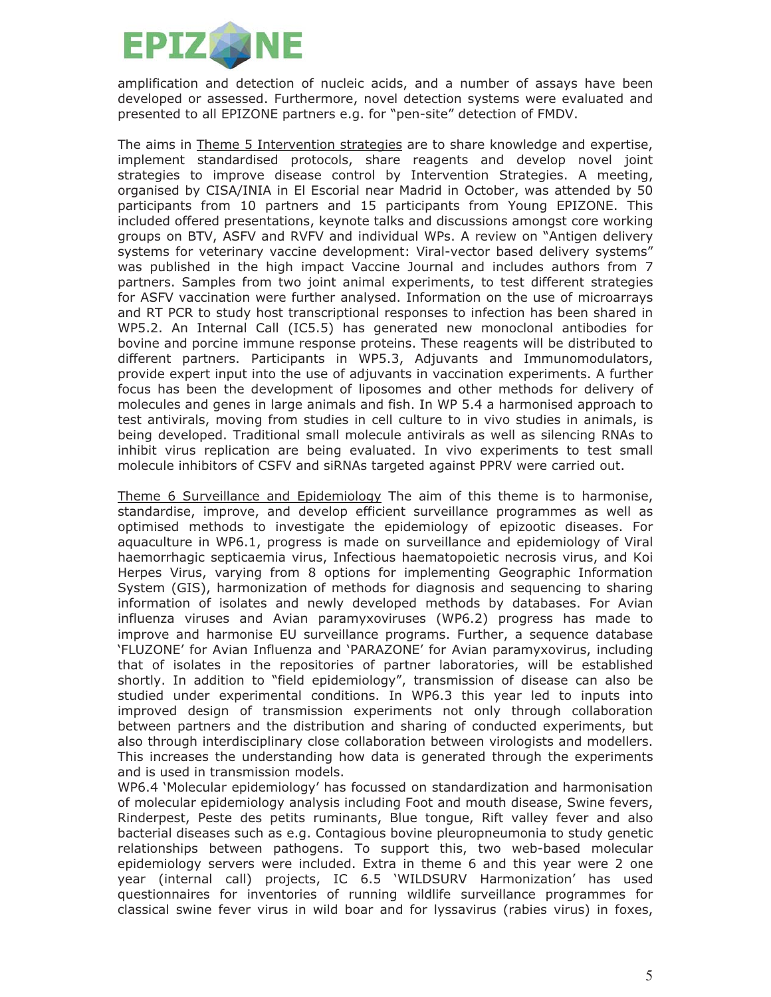

amplification and detection of nucleic acids, and a number of assays have been developed or assessed. Furthermore, novel detection systems were evaluated and presented to all EPIZONE partners e.g. for "pen-site" detection of FMDV.

The aims in Theme 5 Intervention strategies are to share knowledge and expertise, implement standardised protocols, share reagents and develop novel joint strategies to improve disease control by Intervention Strategies. A meeting, organised by CISA/INIA in El Escorial near Madrid in October, was attended by 50 participants from 10 partners and 15 participants from Young EPIZONE. This included offered presentations, keynote talks and discussions amongst core working groups on BTV, ASFV and RVFV and individual WPs. A review on "Antigen delivery systems for veterinary vaccine development: Viral-vector based delivery systems" was published in the high impact Vaccine Journal and includes authors from 7 partners. Samples from two joint animal experiments, to test different strategies for ASFV vaccination were further analysed. Information on the use of microarrays and RT PCR to study host transcriptional responses to infection has been shared in WP5.2. An Internal Call (IC5.5) has generated new monoclonal antibodies for bovine and porcine immune response proteins. These reagents will be distributed to different partners. Participants in WP5.3, Adjuvants and Immunomodulators, provide expert input into the use of adjuvants in vaccination experiments. A further focus has been the development of liposomes and other methods for delivery of molecules and genes in large animals and fish. In WP 5.4 a harmonised approach to test antivirals, moving from studies in cell culture to in vivo studies in animals, is being developed. Traditional small molecule antivirals as well as silencing RNAs to inhibit virus replication are being evaluated. In vivo experiments to test small molecule inhibitors of CSFV and siRNAs targeted against PPRV were carried out.

Theme 6 Surveillance and Epidemiology The aim of this theme is to harmonise, standardise, improve, and develop efficient surveillance programmes as well as optimised methods to investigate the epidemiology of epizootic diseases. For aquaculture in WP6.1, progress is made on surveillance and epidemiology of Viral haemorrhagic septicaemia virus, Infectious haematopoietic necrosis virus, and Koi Herpes Virus, varying from 8 options for implementing Geographic Information System (GIS), harmonization of methods for diagnosis and sequencing to sharing information of isolates and newly developed methods by databases. For Avian influenza viruses and Avian paramyxoviruses (WP6.2) progress has made to improve and harmonise EU surveillance programs. Further, a sequence database 'FLUZONE' for Avian Influenza and 'PARAZONE' for Avian paramyxovirus, including that of isolates in the repositories of partner laboratories, will be established shortly. In addition to "field epidemiology", transmission of disease can also be studied under experimental conditions. In WP6.3 this year led to inputs into improved design of transmission experiments not only through collaboration between partners and the distribution and sharing of conducted experiments, but also through interdisciplinary close collaboration between virologists and modellers. This increases the understanding how data is generated through the experiments and is used in transmission models.

WP6.4 'Molecular epidemiology' has focussed on standardization and harmonisation of molecular epidemiology analysis including Foot and mouth disease, Swine fevers, Rinderpest, Peste des petits ruminants, Blue tongue, Rift valley fever and also bacterial diseases such as e.g. Contagious bovine pleuropneumonia to study genetic relationships between pathogens. To support this, two web-based molecular epidemiology servers were included. Extra in theme 6 and this year were 2 one year (internal call) projects, IC 6.5 'WILDSURV Harmonization' has used questionnaires for inventories of running wildlife surveillance programmes for classical swine fever virus in wild boar and for lyssavirus (rabies virus) in foxes,